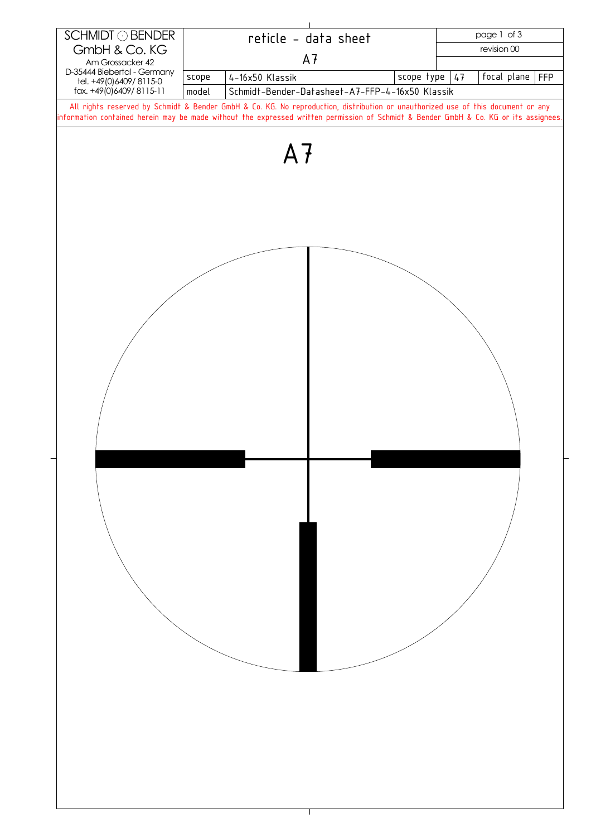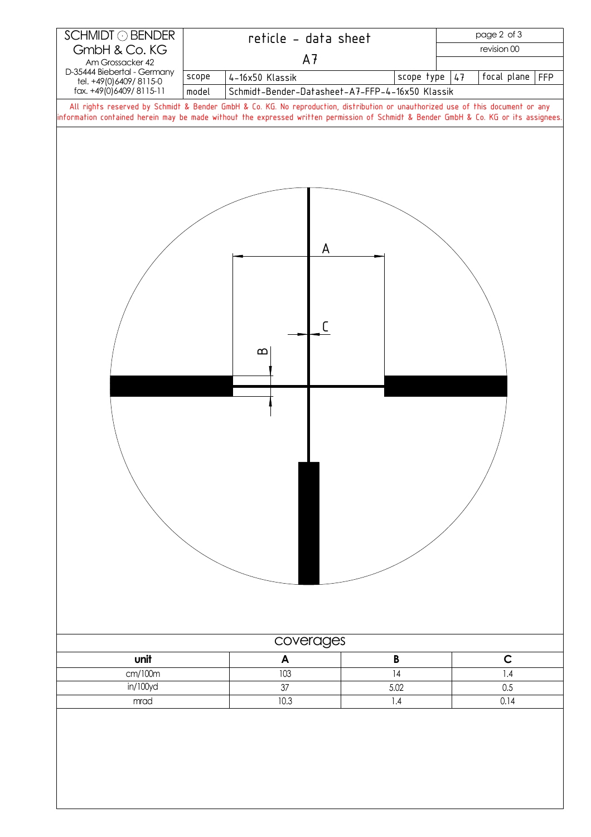